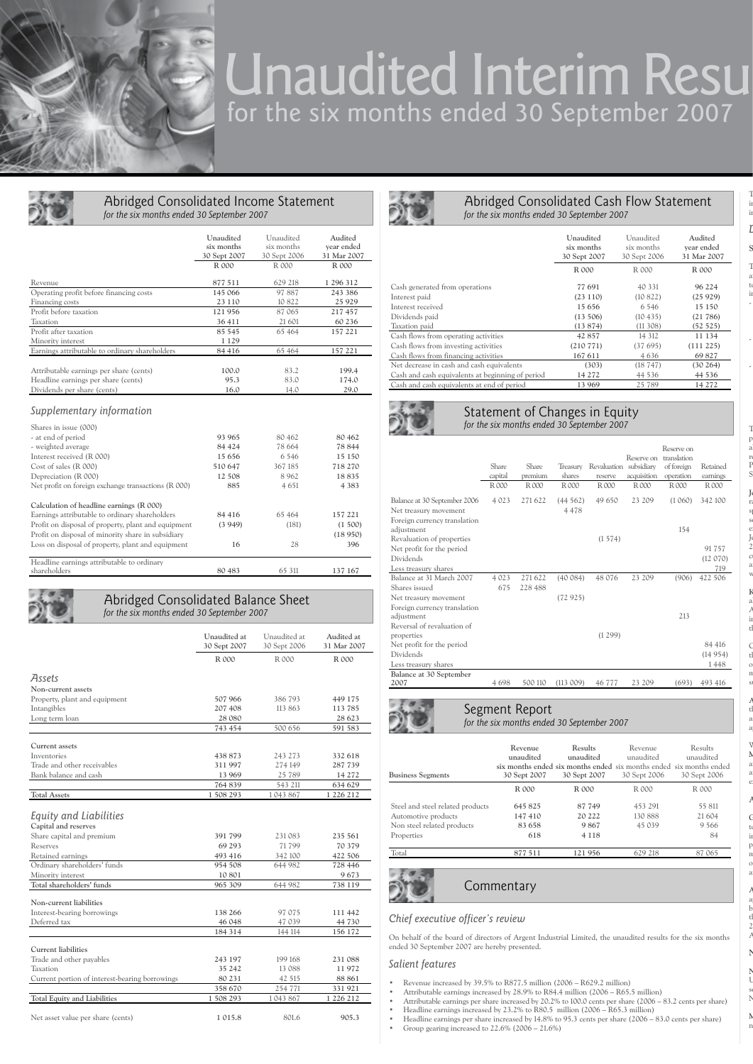

# Unaudited Interim Resu for the six months ended 30 September 2007

|                                                                          |                                                     | for the six months ended 30 September 2007 |              |             |
|--------------------------------------------------------------------------|-----------------------------------------------------|--------------------------------------------|--------------|-------------|
|                                                                          |                                                     | Unaudited                                  | Unaudited    | Audited     |
|                                                                          |                                                     | six months                                 | six months   | year ended  |
|                                                                          |                                                     | 30 Sept 2007                               | 30 Sept 2006 | 31 Mar 2007 |
|                                                                          |                                                     | R 000                                      | R 000        | R 000       |
| Revenue                                                                  |                                                     | 877 511                                    | 629 218      | 1 296 312   |
| Operating profit before financing costs                                  |                                                     | 145 066                                    | 97887        | 243 386     |
| Financing costs                                                          |                                                     | 23 110                                     | 10 822       | 25 9 29     |
| Profit before taxation                                                   |                                                     | 121 956                                    | 87 065       | 217 457     |
| Taxation                                                                 |                                                     | 36 411                                     | 21 601       | 60 236      |
| Profit after taxation                                                    |                                                     | 85 545                                     | 65 4 64      | 157 221     |
| Minority interest                                                        |                                                     | 1 1 2 9                                    |              |             |
|                                                                          | Earnings attributable to ordinary shareholders      | 84 416                                     | 65 4 64      | 157 221     |
| Attributable earnings per share (cents)                                  |                                                     | 100.0                                      | 83.2         | 199.4       |
| Headline earnings per share (cents)                                      |                                                     | 95.3                                       | 83.0         | 174.0       |
| Dividends per share (cents)                                              |                                                     | 16.0                                       | 14.0         | 29.0        |
| Supplementary information<br>Shares in issue (000)<br>- at end of period |                                                     | 93 965                                     | 80 462       | 80 462      |
| - weighted average                                                       |                                                     | 84 424                                     | 78 664       | 78 844      |
| Interest received (R 000)                                                |                                                     | 15 656                                     | 6546         | 15 150      |
| Cost of sales (R 000)                                                    |                                                     | 510 647                                    | 367 185      | 718 270     |
| Depreciation (R 000)                                                     |                                                     | 12 508                                     | 8962         | 18835       |
| Net profit on foreign exchange transactions (R 000)                      |                                                     | 885                                        | 4 651        | 4 3 8 3     |
|                                                                          | Calculation of headline earnings (R 000)            |                                            |              |             |
|                                                                          | Earnings attributable to ordinary shareholders      | 84 416                                     | 65 464       | 157 221     |
|                                                                          | Profit on disposal of property, plant and equipment | (3949)                                     | (181)        | (1 500)     |
|                                                                          |                                                     |                                            |              | (18950)     |
|                                                                          |                                                     | 16                                         | 28           | 396         |
|                                                                          | Loss on disposal of property, plant and equipment   |                                            |              |             |
| Profit on disposal of minority share in subsidiary                       |                                                     |                                            |              |             |

*for the six months ended 30 September 2007*

|                                                                             | Unaudited at<br>30 Sept 2007 | Unaudited at<br>30 Sept 2006 | Audited at<br>31 Mar 2007 |
|-----------------------------------------------------------------------------|------------------------------|------------------------------|---------------------------|
|                                                                             | R 000                        | R 000                        | R 000                     |
| <b>Assets</b>                                                               |                              |                              |                           |
| Non-current assets                                                          |                              |                              |                           |
| Property, plant and equipment                                               | 507 966                      | 386 793                      | 449 175                   |
| Intangibles                                                                 | 207 408                      | 113 863                      | 113 785                   |
| Long term loan                                                              | 28 080                       |                              | 28 623                    |
|                                                                             | 743 454                      | 500 656                      | 591 583                   |
| Current assets                                                              |                              |                              |                           |
| Inventories                                                                 | 438 873                      | 243 273                      | 332 618                   |
| Trade and other receivables                                                 | 311997                       | 274 149                      | 287 739                   |
| Bank balance and cash                                                       | 13 969                       | 25 789                       | 14 272                    |
|                                                                             | 764 839                      | 543 211                      | 634 629                   |
| <b>Total Assets</b>                                                         | 1 508 293                    | 1043867                      | 1 226 212                 |
| Equity and Liabilities<br>Capital and reserves<br>Share capital and premium | 391 799                      | 231 083                      | 235 561                   |
| Reserves                                                                    | 69 29 3                      | 71 799                       | 70 379                    |
| Retained earnings                                                           | 493 416                      | 342 100                      | 422 506                   |
| Ordinary shareholders' funds                                                | 954 508                      | 644 982                      | 728 446                   |
| Minority interest                                                           | 10 801                       |                              | 9673                      |
| Total shareholders' funds                                                   | 965 309                      | 644 982                      | 738 119                   |
| Non-current liabilities                                                     |                              |                              |                           |
| Interest-bearing borrowings                                                 | 138 266                      | 97 075                       | 111 442                   |
| Deferred tax                                                                | 46 048                       | 47 039                       | 44 730                    |
|                                                                             | 184 314                      | 144 114                      | 156 172                   |
| <b>Current liabilities</b>                                                  |                              |                              |                           |
| Trade and other payables                                                    | 243 197                      | 199 168                      | 231 088                   |
| Taxation                                                                    | 35 242                       | 13 088                       | 11972                     |
| Current portion of interest-bearing borrowings                              | 80 231                       | 42 515                       | 88 861                    |
|                                                                             | 358 670                      | 254 771                      | 331 921                   |
| Total Equity and Liabilities                                                | 1 508 293                    | 1043867                      | 1 226 212                 |
| Net asset value per share (cents)                                           | 1 015.8                      | 801.6                        | 905.3                     |



## Abridged Consolidated Cash Flow Statement *for the six months ended 30 September 2007*

|                                                  | Unaudited<br>six months<br>30 Sept 2007 | Unaudited<br>six months<br>30 Sept 2006 | Audited<br>year ended<br>31 Mar 2007 |
|--------------------------------------------------|-----------------------------------------|-----------------------------------------|--------------------------------------|
|                                                  | R 000                                   | R 000                                   | R 000                                |
| Cash generated from operations                   | 77 691                                  | 40 331                                  | 96 224                               |
| Interest paid                                    | (23110)                                 | (10822)                                 | (25929)                              |
| Interest received                                | 15 656                                  | 6546                                    | 15 150                               |
| Dividends paid                                   | (13 506)                                | (10435)                                 | (21786)                              |
| Taxation paid                                    | (13874)                                 | (11308)                                 | (52 525)                             |
| Cash flows from operating activities             | 42857                                   | 14 312                                  | 11 134                               |
| Cash flows from investing activities             | (210 771)                               | (37695)                                 | (111 225)                            |
| Cash flows from financing activities             | 167 611                                 | 4636                                    | 69827                                |
| Net decrease in cash and cash equivalents        | (303)                                   | (18747)                                 | (30264)                              |
| Cash and cash equivalents at beginning of period | 14 272                                  | 44 5 3 6                                | 44 5 36                              |
| Cash and cash equivalents at end of period       | 13 969                                  | 25 789                                  | 14 272                               |



### Statement of Changes in Equity *for the six months ended 30 September 2007*

|                                                       | Share<br>capital | Share<br>premium | Treasury<br>shares | Revaluation<br>reserve | Reserve on<br>subsidiary<br>acquisition | Reserve on<br>translation<br>of foreign<br>operation | Retained<br>earnings |
|-------------------------------------------------------|------------------|------------------|--------------------|------------------------|-----------------------------------------|------------------------------------------------------|----------------------|
|                                                       | R 000            | R 000            | R 000              | R 000                  | R 000                                   | R 000                                                | R 000                |
| Balance at 30 September 2006<br>Net treasury movement | 4 0 2 3          | 271 622          | (44562)<br>4478    | 49 650                 | 23 209                                  | (1060)                                               | 342 100              |
| Foreign currency translation<br>adjustment            |                  |                  |                    |                        |                                         | 154                                                  |                      |
| Revaluation of properties                             |                  |                  |                    | (1574)                 |                                         |                                                      |                      |
| Net profit for the period                             |                  |                  |                    |                        |                                         |                                                      | 91 75 7              |
| Dividends                                             |                  |                  |                    |                        |                                         |                                                      | (12070)              |
| Less treasury shares                                  |                  |                  |                    |                        |                                         |                                                      | 719                  |
| Balance at 31 March 2007                              | 4 0 2 3          | 271 622          | (40084)            | 48 076                 | 23 209                                  | (906)                                                | 422 506              |
| Shares issued                                         | 675              | 228 488          |                    |                        |                                         |                                                      |                      |
| Net treasury movement                                 |                  |                  | (72925)            |                        |                                         |                                                      |                      |
| Foreign currency translation                          |                  |                  |                    |                        |                                         |                                                      |                      |
| adjustment                                            |                  |                  |                    |                        |                                         | 213                                                  |                      |
| Reversal of revaluation of                            |                  |                  |                    |                        |                                         |                                                      |                      |
| properties                                            |                  |                  |                    | (1299)                 |                                         |                                                      |                      |
| Net profit for the period                             |                  |                  |                    |                        |                                         |                                                      | 84 416               |
| Dividends                                             |                  |                  |                    |                        |                                         |                                                      | (14954)              |
| Less treasury shares                                  |                  |                  |                    |                        |                                         |                                                      | 1448                 |
| Balance at 30 September                               |                  |                  |                    |                        |                                         |                                                      |                      |
| 2007                                                  | 4698             | 500 110          | (113 009)          | 46 777                 | 23 209                                  | (693)                                                | 493 416              |

# Segment Report

Segment Report<br>*for the six months ended 30 September 2007* 

| <b>Business Segments</b>                                | Revenue<br>unaudited<br>30 Sept 2007 | Results<br>unaudited<br>six months ended six months ended six months ended six months ended<br>30 Sept 2007 | Revenue<br>unaudited<br>30 Sept 2006 | Results<br>unaudited<br>30 Sept 2006 |  |
|---------------------------------------------------------|--------------------------------------|-------------------------------------------------------------------------------------------------------------|--------------------------------------|--------------------------------------|--|
|                                                         | R 000                                | R 000                                                                                                       | R 000                                | R 000                                |  |
| Steel and steel related products<br>Automotive products | 645 825<br>147 410                   | 87 749<br>20 222                                                                                            | 453 291<br>130 888                   | 55 811<br>21 604                     |  |
| Non steel related products<br>Properties                | 83 658<br>618                        | 9867<br>4 1 1 8                                                                                             | 45 039                               | 9 5 6 6<br>84                        |  |
| Total                                                   | 877 511                              | 121 956                                                                                                     | 629 218                              | 87 065                               |  |

# Commentary Commentary

# *Chief executive officer's review*

On behalf of the board of directors of Argent Industrial Limited, the unaudited results for the six months ended 30 September 2007 are hereby presented.

#### *Salient features*

- Revenue increased by 39.5% to R877.5 million (2006 R629.2 million)
- 
- Attributable earnings increased by 28.9% to R84.4 million (2006 R65.5 million) Attributable earnings per share increased by 20.2% to 100.0 cents per share (2006 83.2 cents per share)
- Headline earnings increased by 23.2% to R80.5 million (2006 R65.3 million) • Headline earnings per share increased by 14.8% to 95.3 cents per share (2006 – 83.0 cents per share) • Group gearing increased to 22.6% (2006 – 21.6%)

 $\mathbf T$ in light of the fact that the Group was directly affected by the national steel, engineering and automotive industrial action which occurred in July and September, as well as indirectly by the public sector strike.

The national **Phoenix Steel** operations experienced a relatively buoyant start to the financial year, despite the a<sup>f</sup> to da

 $\overline{\phantom{a}}$ 

 $\overline{a}$ 

 $\overline{a}$ 

The acquisition of **Gammid Trading** represented a significant milestone for Argent as the same proven  $\overline{p}$ a<sup>l</sup> recently entered the Post Elizabeth market and both steel and both steel and both steel and both steel and both steel and both steel and aluminium are sold by Phoenix Steel and aluminium are sold by Phoenix Steel and Steel  $\mathbb P$ 

 $J$ r:  $s$  $\mathbf S$ e  $J<sub>0</sub>$  $2$ c<sup>u</sup> a

 $\bf k$ a<sup>l</sup>  $A$ in

*Divisional performance* **Steel and Steel Related Products**

S

 $\overline{W}$ 

the way of  $\mathbb{R}^n$ 

 $\mathbf i$